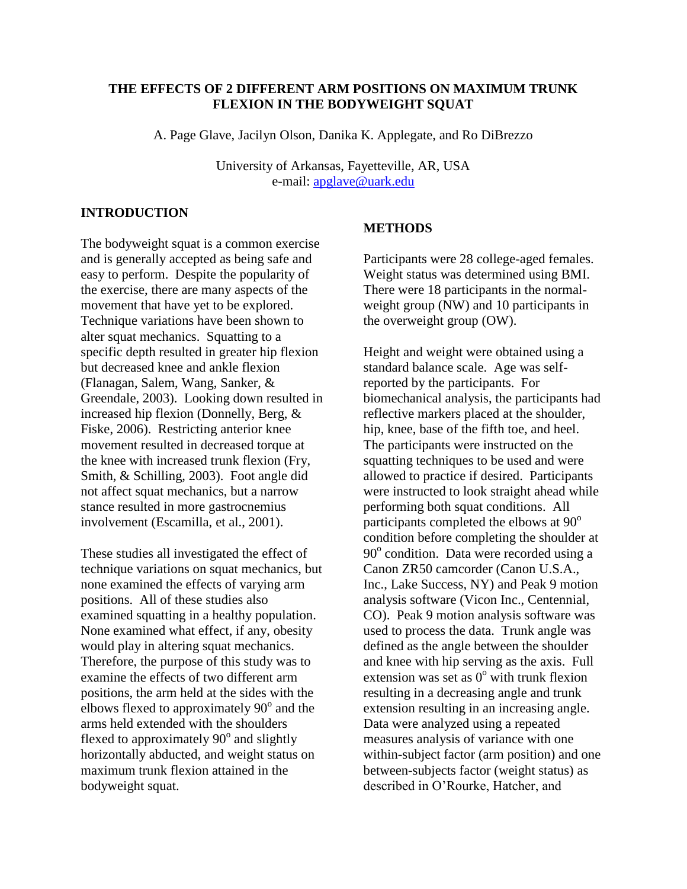# **THE EFFECTS OF 2 DIFFERENT ARM POSITIONS ON MAXIMUM TRUNK FLEXION IN THE BODYWEIGHT SQUAT**

A. Page Glave, Jacilyn Olson, Danika K. Applegate, and Ro DiBrezzo

University of Arkansas, Fayetteville, AR, USA e-mail: [apglave@uark.edu](mailto:apglave@uark.edu)

# **INTRODUCTION**

The bodyweight squat is a common exercise and is generally accepted as being safe and easy to perform. Despite the popularity of the exercise, there are many aspects of the movement that have yet to be explored. Technique variations have been shown to alter squat mechanics. Squatting to a specific depth resulted in greater hip flexion but decreased knee and ankle flexion (Flanagan, Salem, Wang, Sanker, & Greendale, 2003). Looking down resulted in increased hip flexion (Donnelly, Berg, & Fiske, 2006). Restricting anterior knee movement resulted in decreased torque at the knee with increased trunk flexion (Fry, Smith, & Schilling, 2003). Foot angle did not affect squat mechanics, but a narrow stance resulted in more gastrocnemius involvement (Escamilla, et al., 2001).

These studies all investigated the effect of technique variations on squat mechanics, but none examined the effects of varying arm positions. All of these studies also examined squatting in a healthy population. None examined what effect, if any, obesity would play in altering squat mechanics. Therefore, the purpose of this study was to examine the effects of two different arm positions, the arm held at the sides with the elbows flexed to approximately  $90^{\circ}$  and the arms held extended with the shoulders flexed to approximately  $90^\circ$  and slightly horizontally abducted, and weight status on maximum trunk flexion attained in the bodyweight squat.

## **METHODS**

Participants were 28 college-aged females. Weight status was determined using BMI. There were 18 participants in the normalweight group (NW) and 10 participants in the overweight group (OW).

Height and weight were obtained using a standard balance scale. Age was selfreported by the participants. For biomechanical analysis, the participants had reflective markers placed at the shoulder, hip, knee, base of the fifth toe, and heel. The participants were instructed on the squatting techniques to be used and were allowed to practice if desired. Participants were instructed to look straight ahead while performing both squat conditions. All participants completed the elbows at  $90^\circ$ condition before completing the shoulder at 90° condition. Data were recorded using a Canon ZR50 camcorder (Canon U.S.A., Inc., Lake Success, NY) and Peak 9 motion analysis software (Vicon Inc., Centennial, CO). Peak 9 motion analysis software was used to process the data. Trunk angle was defined as the angle between the shoulder and knee with hip serving as the axis. Full extension was set as  $0^{\circ}$  with trunk flexion resulting in a decreasing angle and trunk extension resulting in an increasing angle. Data were analyzed using a repeated measures analysis of variance with one within-subject factor (arm position) and one between-subjects factor (weight status) as described in O'Rourke, Hatcher, and